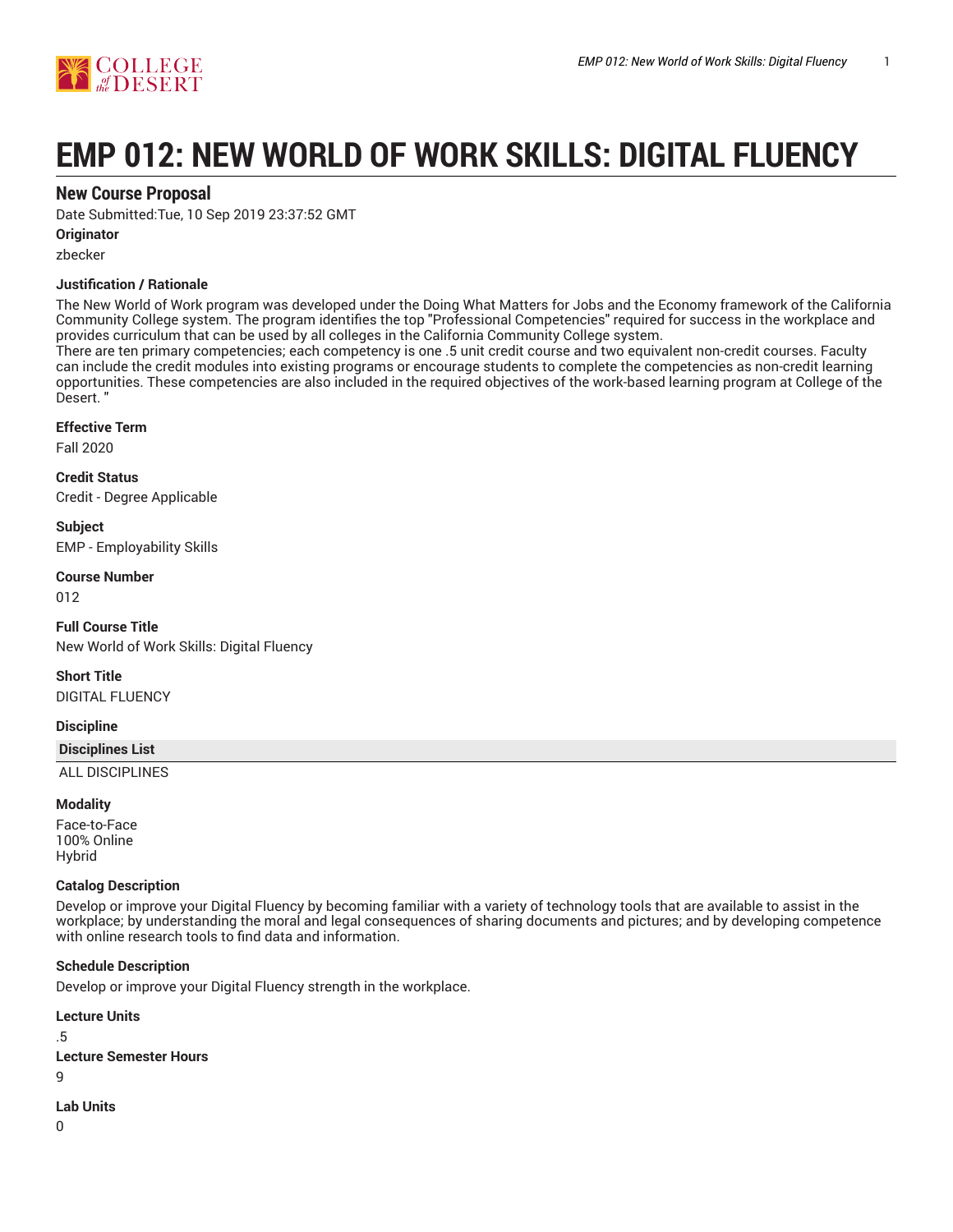

# **EMP 012: NEW WORLD OF WORK SKILLS: DIGITAL FLUENCY**

# **New Course Proposal**

Date Submitted:Tue, 10 Sep 2019 23:37:52 GMT

### **Originator**

zbecker

## **Justification / Rationale**

The New World of Work program was developed under the Doing What Matters for Jobs and the Economy framework of the California Community College system. The program identifies the top "Professional Competencies" required for success in the workplace and provides curriculum that can be used by all colleges in the California Community College system.

There are ten primary competencies; each competency is one .5 unit credit course and two equivalent non-credit courses. Faculty can include the credit modules into existing programs or encourage students to complete the competencies as non-credit learning opportunities. These competencies are also included in the required objectives of the work-based learning program at College of the Desert. "

#### **Effective Term**

Fall 2020

**Credit Status** Credit - Degree Applicable

**Subject** EMP - Employability Skills

#### **Course Number**

012

**Full Course Title** New World of Work Skills: Digital Fluency

**Short Title** DIGITAL FLUENCY

# **Discipline**

#### **Disciplines List**

ALL DISCIPLINES

#### **Modality**

Face-to-Face 100% Online Hybrid

#### **Catalog Description**

Develop or improve your Digital Fluency by becoming familiar with a variety of technology tools that are available to assist in the workplace; by understanding the moral and legal consequences of sharing documents and pictures; and by developing competence with online research tools to find data and information.

#### **Schedule Description**

Develop or improve your Digital Fluency strength in the workplace.

**Lecture Units** .5 **Lecture Semester Hours**  $\alpha$ **Lab Units**

 $\Omega$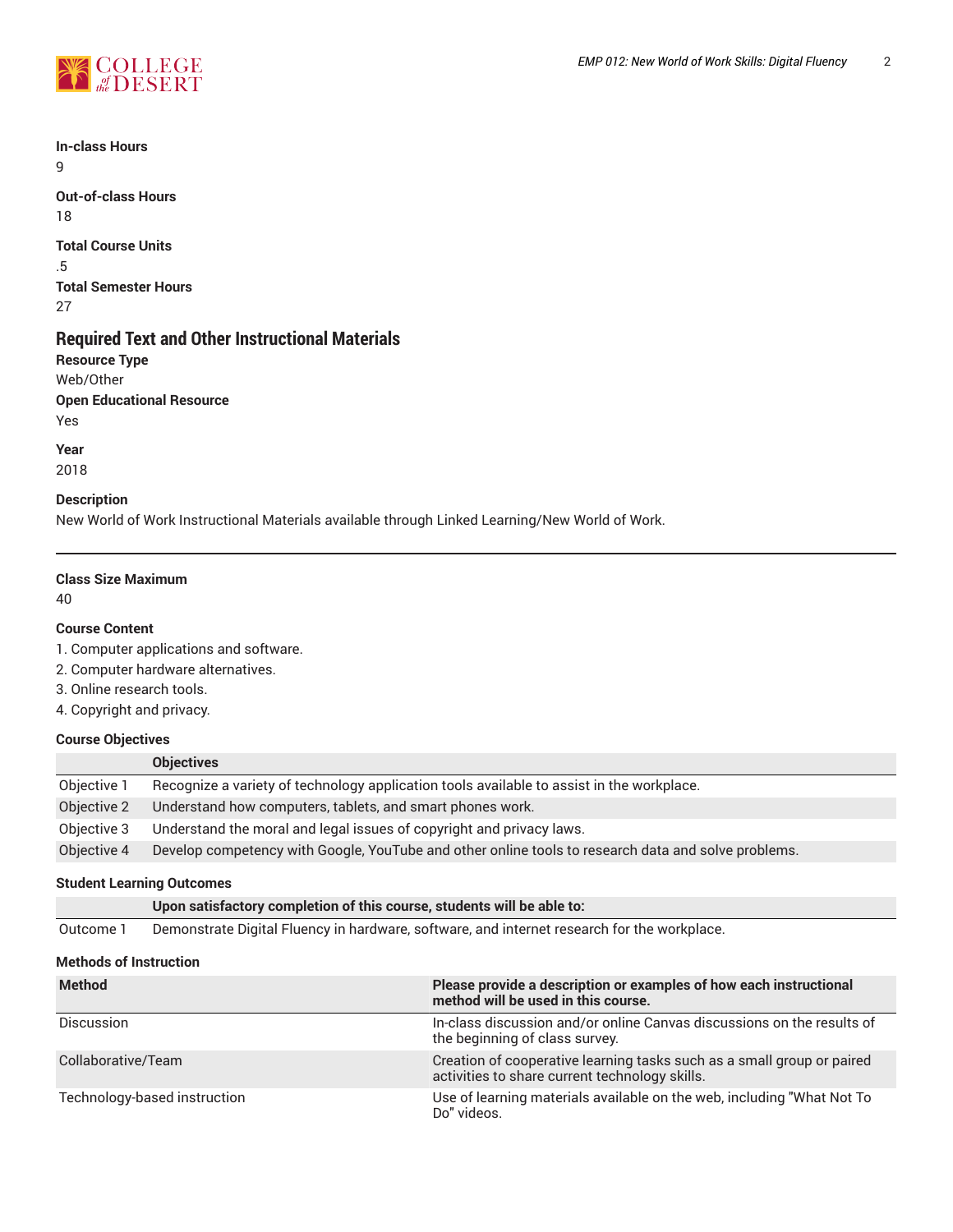

**In-class Hours** 9

**Out-of-class Hours** 18

**Total Course Units** .5 **Total Semester Hours** 27

# **Required Text and Other Instructional Materials**

**Resource Type** Web/Other **Open Educational Resource** Yes

**Year** 2018

## **Description**

New World of Work Instructional Materials available through Linked Learning/New World of Work.

#### **Class Size Maximum**

40

#### **Course Content**

1. Computer applications and software.

2. Computer hardware alternatives.

- 3. Online research tools.
- 4. Copyright and privacy.

#### **Course Objectives**

|             | <b>Objectives</b>                                                                                   |
|-------------|-----------------------------------------------------------------------------------------------------|
| Objective 1 | Recognize a variety of technology application tools available to assist in the workplace.           |
| Objective 2 | Understand how computers, tablets, and smart phones work.                                           |
| Objective 3 | Understand the moral and legal issues of copyright and privacy laws.                                |
| Objective 4 | Develop competency with Google, YouTube and other online tools to research data and solve problems. |

## **Student Learning Outcomes**

**Upon satisfactory completion of this course, students will be able to:** Outcome 1 Demonstrate Digital Fluency in hardware, software, and internet research for the workplace.

#### **Methods of Instruction**

| <b>Method</b>                | Please provide a description or examples of how each instructional<br>method will be used in this course.                |  |  |  |
|------------------------------|--------------------------------------------------------------------------------------------------------------------------|--|--|--|
| <b>Discussion</b>            | In-class discussion and/or online Canvas discussions on the results of<br>the beginning of class survey.                 |  |  |  |
| Collaborative/Team           | Creation of cooperative learning tasks such as a small group or paired<br>activities to share current technology skills. |  |  |  |
| Technology-based instruction | Use of learning materials available on the web, including "What Not To<br>Do" videos.                                    |  |  |  |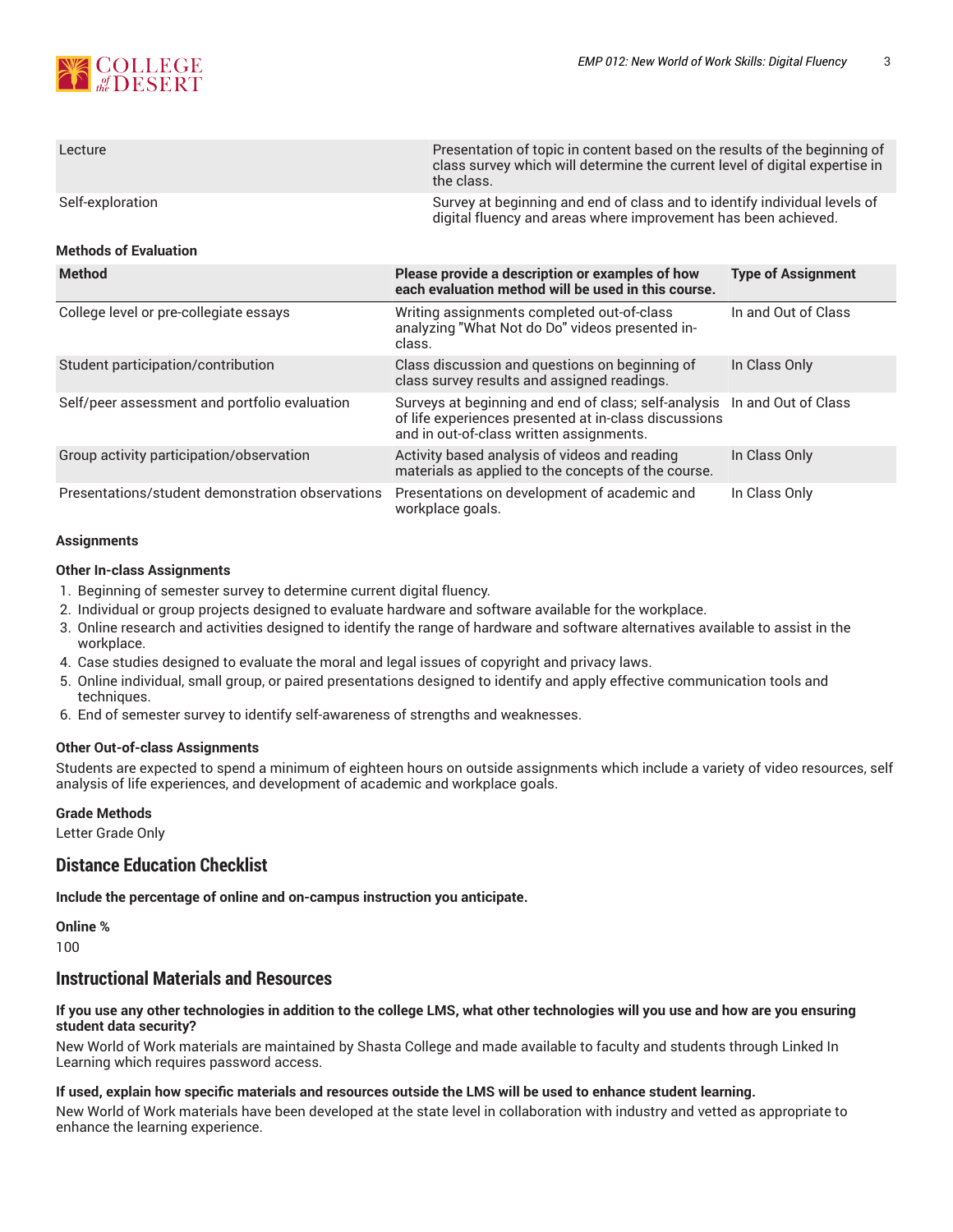

| Lecture          | Presentation of topic in content based on the results of the beginning of<br>class survey which will determine the current level of digital expertise in<br>the class. |
|------------------|------------------------------------------------------------------------------------------------------------------------------------------------------------------------|
| Self-exploration | Survey at beginning and end of class and to identify individual levels of<br>digital fluency and areas where improvement has been achieved.                            |

#### **Methods of Evaluation**

| <b>Method</b>                                    | Please provide a description or examples of how<br>each evaluation method will be used in this course.                                                                         | <b>Type of Assignment</b> |
|--------------------------------------------------|--------------------------------------------------------------------------------------------------------------------------------------------------------------------------------|---------------------------|
| College level or pre-collegiate essays           | Writing assignments completed out-of-class<br>analyzing "What Not do Do" videos presented in-<br>class.                                                                        | In and Out of Class       |
| Student participation/contribution               | Class discussion and questions on beginning of<br>class survey results and assigned readings.                                                                                  | In Class Only             |
| Self/peer assessment and portfolio evaluation    | Surveys at beginning and end of class; self-analysis  In and Out of Class<br>of life experiences presented at in-class discussions<br>and in out-of-class written assignments. |                           |
| Group activity participation/observation         | Activity based analysis of videos and reading<br>materials as applied to the concepts of the course.                                                                           | In Class Only             |
| Presentations/student demonstration observations | Presentations on development of academic and<br>workplace goals.                                                                                                               | In Class Only             |

#### **Assignments**

#### **Other In-class Assignments**

- 1. Beginning of semester survey to determine current digital fluency.
- 2. Individual or group projects designed to evaluate hardware and software available for the workplace.
- 3. Online research and activities designed to identify the range of hardware and software alternatives available to assist in the workplace.
- 4. Case studies designed to evaluate the moral and legal issues of copyright and privacy laws.
- 5. Online individual, small group, or paired presentations designed to identify and apply effective communication tools and techniques.
- 6. End of semester survey to identify self-awareness of strengths and weaknesses.

#### **Other Out-of-class Assignments**

Students are expected to spend a minimum of eighteen hours on outside assignments which include a variety of video resources, self analysis of life experiences, and development of academic and workplace goals.

#### **Grade Methods**

Letter Grade Only

# **Distance Education Checklist**

**Include the percentage of online and on-campus instruction you anticipate.**

**Online %**

100

# **Instructional Materials and Resources**

#### If you use any other technologies in addition to the college LMS, what other technologies will you use and how are you ensuring **student data security?**

New World of Work materials are maintained by Shasta College and made available to faculty and students through Linked In Learning which requires password access.

#### **If used, explain how specific materials and resources outside the LMS will be used to enhance student learning.**

New World of Work materials have been developed at the state level in collaboration with industry and vetted as appropriate to enhance the learning experience.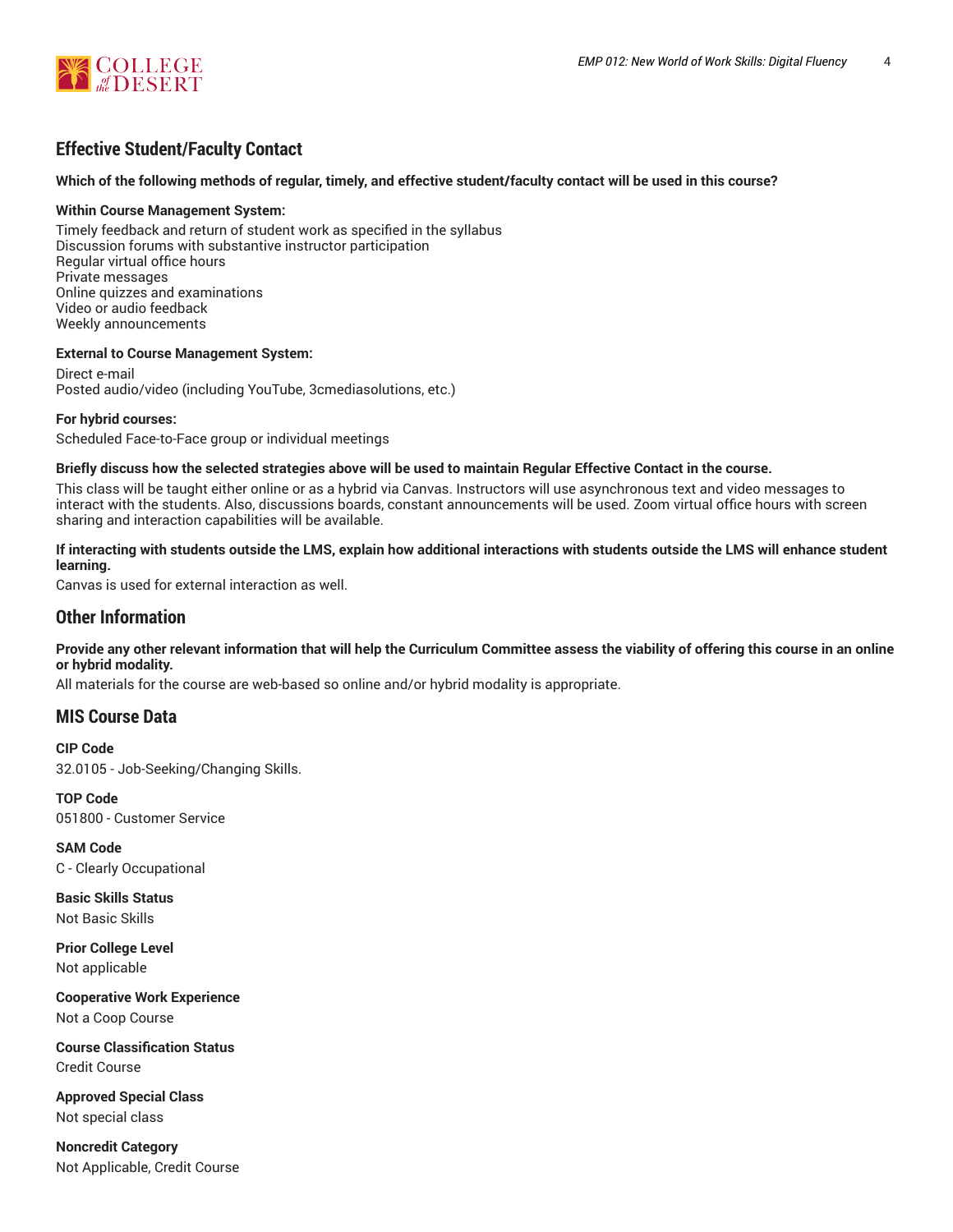

# **Effective Student/Faculty Contact**

#### Which of the following methods of regular, timely, and effective student/faculty contact will be used in this course?

#### **Within Course Management System:**

Timely feedback and return of student work as specified in the syllabus Discussion forums with substantive instructor participation Regular virtual office hours Private messages Online quizzes and examinations Video or audio feedback Weekly announcements

#### **External to Course Management System:**

Direct e-mail Posted audio/video (including YouTube, 3cmediasolutions, etc.)

#### **For hybrid courses:**

Scheduled Face-to-Face group or individual meetings

#### Briefly discuss how the selected strategies above will be used to maintain Regular Effective Contact in the course.

This class will be taught either online or as a hybrid via Canvas. Instructors will use asynchronous text and video messages to interact with the students. Also, discussions boards, constant announcements will be used. Zoom virtual office hours with screen sharing and interaction capabilities will be available.

#### **If interacting with students outside the LMS, explain how additional interactions with students outside the LMS will enhance student learning.**

Canvas is used for external interaction as well.

## **Other Information**

Provide any other relevant information that will help the Curriculum Committee assess the viability of offering this course in an online **or hybrid modality.**

All materials for the course are web-based so online and/or hybrid modality is appropriate.

# **MIS Course Data**

**CIP Code** 32.0105 - Job-Seeking/Changing Skills.

**TOP Code** 051800 - Customer Service

**SAM Code** C - Clearly Occupational

**Basic Skills Status** Not Basic Skills

**Prior College Level** Not applicable

**Cooperative Work Experience** Not a Coop Course

**Course Classification Status** Credit Course

**Approved Special Class** Not special class

**Noncredit Category** Not Applicable, Credit Course